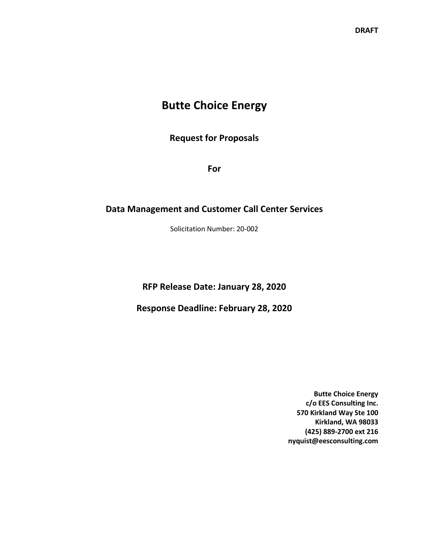## **Butte Choice Energy**

**Request for Proposals**

**For**

#### **Data Management and Customer Call Center Services**

Solicitation Number: 20-002

**RFP Release Date: January 28, 2020**

**Response Deadline: February 28, 2020**

**Butte Choice Energy c/o EES Consulting Inc. 570 Kirkland Way Ste 100 Kirkland, WA 98033 (425) 889-2700 ext 216 nyquist@eesconsulting.com**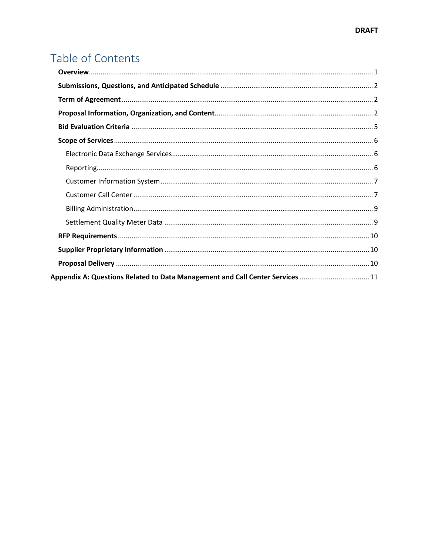# Table of Contents

| Appendix A: Questions Related to Data Management and Call Center Services  11 |  |
|-------------------------------------------------------------------------------|--|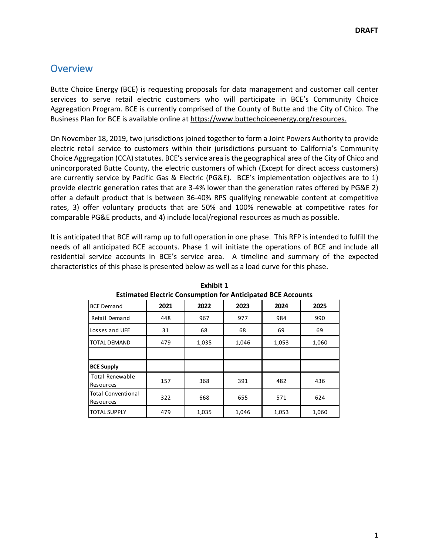## <span id="page-2-0"></span>**Overview**

Butte Choice Energy (BCE) is requesting proposals for data management and customer call center services to serve retail electric customers who will participate in BCE's Community Choice Aggregation Program. BCE is currently comprised of the County of Butte and the City of Chico. The Business Plan for BCE is available online at https://www.buttechoiceenergy.org/resources.

On November 18, 2019, two jurisdictions joined together to form a Joint Powers Authority to provide electric retail service to customers within their jurisdictions pursuant to California's Community Choice Aggregation (CCA) statutes. BCE's service area is the geographical area of the City of Chico and unincorporated Butte County, the electric customers of which (Except for direct access customers) are currently service by Pacific Gas & Electric (PG&E). BCE's implementation objectives are to 1) provide electric generation rates that are 3-4% lower than the generation rates offered by PG&E 2) offer a default product that is between 36-40% RPS qualifying renewable content at competitive rates, 3) offer voluntary products that are 50% and 100% renewable at competitive rates for comparable PG&E products, and 4) include local/regional resources as much as possible.

It is anticipated that BCE will ramp up to full operation in one phase. This RFP is intended to fulfill the needs of all anticipated BCE accounts. Phase 1 will initiate the operations of BCE and include all residential service accounts in BCE's service area. A timeline and summary of the expected characteristics of this phase is presented below as well as a load curve for this phase. 

| ESUMATED EIGENTE CONSUMPTION TO ANTICIPATED DUE ACCOUNTS |      |       |       |       |       |  |
|----------------------------------------------------------|------|-------|-------|-------|-------|--|
| <b>BCE Demand</b>                                        | 2021 | 2022  | 2023  | 2024  | 2025  |  |
| Retail Demand                                            | 448  | 967   | 977   | 984   | 990   |  |
| Losses and UFE                                           | 31   | 68    | 68    | 69    | 69    |  |
| <b>TOTAL DEMAND</b>                                      | 479  | 1,035 | 1,046 | 1,053 | 1,060 |  |
|                                                          |      |       |       |       |       |  |
| <b>BCE Supply</b>                                        |      |       |       |       |       |  |
| <b>Total Renewable</b><br><b>Resources</b>               | 157  | 368   | 391   | 482   | 436   |  |
| <b>Total Conventional</b><br><b>Resources</b>            | 322  | 668   | 655   | 571   | 624   |  |
| <b>TOTAL SUPPLY</b>                                      | 479  | 1,035 | 1,046 | 1,053 | 1,060 |  |

**Exhibit 1 Estimated Electric Consumption for Anticipated BCE Accounts**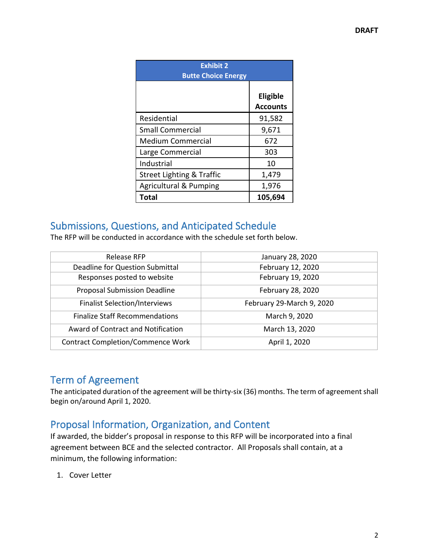| <b>Exhibit 2</b><br><b>Butte Choice Energy</b> |                             |  |  |  |
|------------------------------------------------|-----------------------------|--|--|--|
|                                                | Eligible<br><b>Accounts</b> |  |  |  |
| Residential                                    | 91,582                      |  |  |  |
| <b>Small Commercial</b>                        | 9,671                       |  |  |  |
| <b>Medium Commercial</b>                       | 672                         |  |  |  |
| Large Commercial                               | 303                         |  |  |  |
| Industrial                                     | 10                          |  |  |  |
| Street Lighting & Traffic                      | 1,479                       |  |  |  |
| <b>Agricultural &amp; Pumping</b>              | 1,976                       |  |  |  |
| <b>Total</b>                                   | 105,694                     |  |  |  |

## <span id="page-3-0"></span>Submissions, Questions, and Anticipated Schedule

The RFP will be conducted in accordance with the schedule set forth below.

| Release RFP                              | January 28, 2020          |
|------------------------------------------|---------------------------|
| Deadline for Question Submittal          | February 12, 2020         |
| Responses posted to website              | February 19, 2020         |
| <b>Proposal Submission Deadline</b>      | February 28, 2020         |
| <b>Finalist Selection/Interviews</b>     | February 29-March 9, 2020 |
| <b>Finalize Staff Recommendations</b>    | March 9, 2020             |
| Award of Contract and Notification       | March 13, 2020            |
| <b>Contract Completion/Commence Work</b> | April 1, 2020             |

## <span id="page-3-1"></span>Term of Agreement

The anticipated duration of the agreement will be thirty-six (36) months. The term of agreement shall begin on/around April 1, 2020.

## <span id="page-3-2"></span>Proposal Information, Organization, and Content

If awarded, the bidder's proposal in response to this RFP will be incorporated into a final agreement between BCE and the selected contractor. All Proposals shall contain, at a minimum, the following information:

1. Cover Letter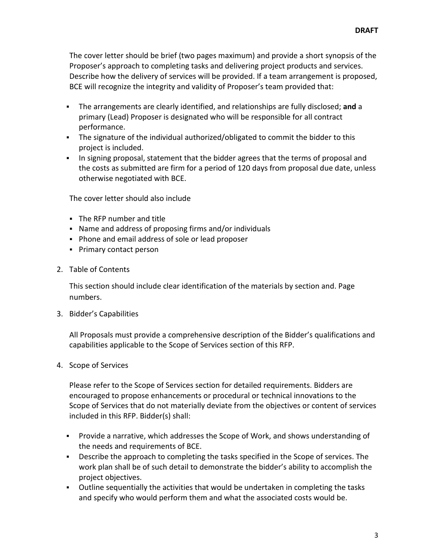The cover letter should be brief (two pages maximum) and provide a short synopsis of the Proposer's approach to completing tasks and delivering project products and services. Describe how the delivery of services will be provided. If a team arrangement is proposed, BCE will recognize the integrity and validity of Proposer's team provided that:

- The arrangements are clearly identified, and relationships are fully disclosed; **and** a primary (Lead) Proposer is designated who will be responsible for all contract performance.
- The signature of the individual authorized/obligated to commit the bidder to this project is included.
- In signing proposal, statement that the bidder agrees that the terms of proposal and the costs as submitted are firm for a period of 120 days from proposal due date, unless otherwise negotiated with BCE.

The cover letter should also include

- The RFP number and title
- Name and address of proposing firms and/or individuals
- Phone and email address of sole or lead proposer
- Primary contact person
- 2. Table of Contents

This section should include clear identification of the materials by section and. Page numbers.

3. Bidder's Capabilities

All Proposals must provide a comprehensive description of the Bidder's qualifications and capabilities applicable to the Scope of Services section of this RFP.

4. Scope of Services

Please refer to the Scope of Services section for detailed requirements. Bidders are encouraged to propose enhancements or procedural or technical innovations to the Scope of Services that do not materially deviate from the objectives or content of services included in this RFP. Bidder(s) shall:

- Provide a narrative, which addresses the Scope of Work, and shows understanding of the needs and requirements of BCE.
- Describe the approach to completing the tasks specified in the Scope of services. The work plan shall be of such detail to demonstrate the bidder's ability to accomplish the project objectives.
- Outline sequentially the activities that would be undertaken in completing the tasks and specify who would perform them and what the associated costs would be.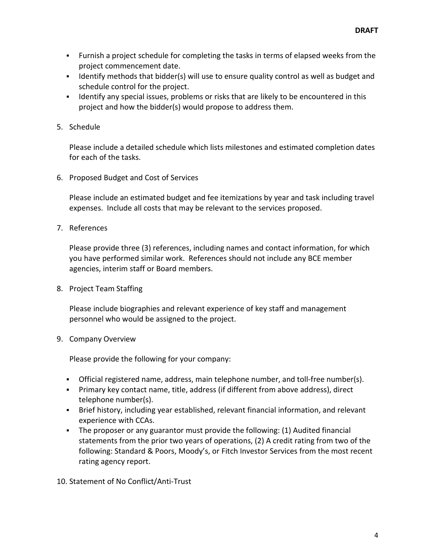- Furnish a project schedule for completing the tasks in terms of elapsed weeks from the project commencement date.
- If Identify methods that bidder(s) will use to ensure quality control as well as budget and schedule control for the project.
- Identify any special issues, problems or risks that are likely to be encountered in this project and how the bidder(s) would propose to address them.
- 5. Schedule

Please include a detailed schedule which lists milestones and estimated completion dates for each of the tasks.

6. Proposed Budget and Cost of Services

Please include an estimated budget and fee itemizations by year and task including travel expenses. Include all costs that may be relevant to the services proposed.

7. References

Please provide three (3) references, including names and contact information, for which you have performed similar work. References should not include any BCE member agencies, interim staff or Board members.

8. Project Team Staffing

Please include biographies and relevant experience of key staff and management personnel who would be assigned to the project.

9. Company Overview

Please provide the following for your company:

- Official registered name, address, main telephone number, and toll-free number(s).
- Primary key contact name, title, address (if different from above address), direct telephone number(s).
- Brief history, including year established, relevant financial information, and relevant experience with CCAs.
- The proposer or any guarantor must provide the following: (1) Audited financial statements from the prior two years of operations, (2) A credit rating from two of the following: Standard & Poors, Moody's, or Fitch Investor Services from the most recent rating agency report.

10. Statement of No Conflict/Anti-Trust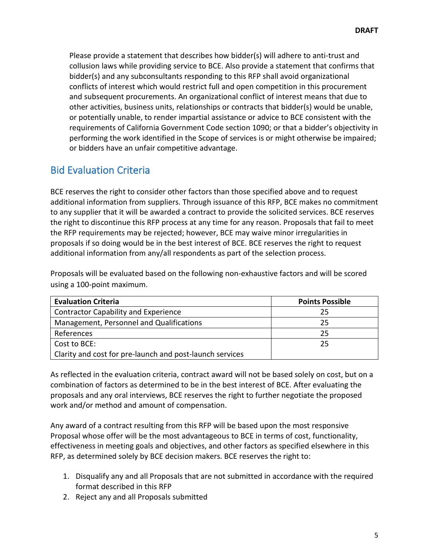Please provide a statement that describes how bidder(s) will adhere to anti-trust and collusion laws while providing service to BCE. Also provide a statement that confirms that bidder(s) and any subconsultants responding to this RFP shall avoid organizational conflicts of interest which would restrict full and open competition in this procurement and subsequent procurements. An organizational conflict of interest means that due to other activities, business units, relationships or contracts that bidder(s) would be unable, or potentially unable, to render impartial assistance or advice to BCE consistent with the requirements of California Government Code section 1090; or that a bidder's objectivity in performing the work identified in the Scope of services is or might otherwise be impaired; or bidders have an unfair competitive advantage.

## <span id="page-6-0"></span>Bid Evaluation Criteria

BCE reserves the right to consider other factors than those specified above and to request additional information from suppliers. Through issuance of this RFP, BCE makes no commitment to any supplier that it will be awarded a contract to provide the solicited services. BCE reserves the right to discontinue this RFP process at any time for any reason. Proposals that fail to meet the RFP requirements may be rejected; however, BCE may waive minor irregularities in proposals if so doing would be in the best interest of BCE. BCE reserves the right to request additional information from any/all respondents as part of the selection process.

Proposals will be evaluated based on the following non-exhaustive factors and will be scored using a 100-point maximum.

| <b>Evaluation Criteria</b>                               | <b>Points Possible</b> |
|----------------------------------------------------------|------------------------|
| <b>Contractor Capability and Experience</b>              | 25                     |
| Management, Personnel and Qualifications                 | 25                     |
| References                                               | 25                     |
| Cost to BCE:                                             | 25                     |
| Clarity and cost for pre-launch and post-launch services |                        |

As reflected in the evaluation criteria, contract award will not be based solely on cost, but on a combination of factors as determined to be in the best interest of BCE. After evaluating the proposals and any oral interviews, BCE reserves the right to further negotiate the proposed work and/or method and amount of compensation.

Any award of a contract resulting from this RFP will be based upon the most responsive Proposal whose offer will be the most advantageous to BCE in terms of cost, functionality, effectiveness in meeting goals and objectives, and other factors as specified elsewhere in this RFP, as determined solely by BCE decision makers. BCE reserves the right to:

- 1. Disqualify any and all Proposals that are not submitted in accordance with the required format described in this RFP
- 2. Reject any and all Proposals submitted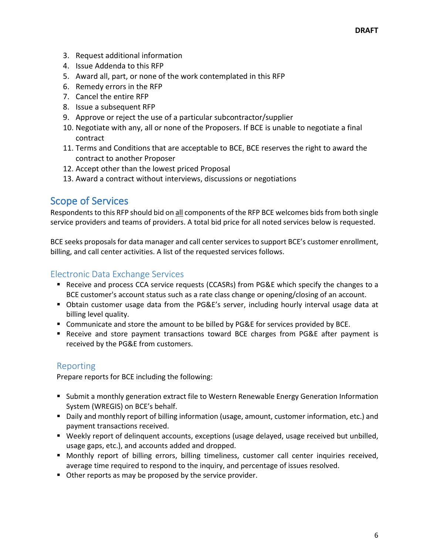- 3. Request additional information
- 4. Issue Addenda to this RFP
- 5. Award all, part, or none of the work contemplated in this RFP
- 6. Remedy errors in the RFP
- 7. Cancel the entire RFP
- 8. Issue a subsequent RFP
- 9. Approve or reject the use of a particular subcontractor/supplier
- 10. Negotiate with any, all or none of the Proposers. If BCE is unable to negotiate a final contract
- 11. Terms and Conditions that are acceptable to BCE, BCE reserves the right to award the contract to another Proposer
- 12. Accept other than the lowest priced Proposal
- 13. Award a contract without interviews, discussions or negotiations

## <span id="page-7-0"></span>Scope of Services

Respondents to this RFP should bid on all components of the RFP BCE welcomes bids from both single service providers and teams of providers. A total bid price for all noted services below is requested.

BCE seeks proposals for data manager and call center services to support BCE's customer enrollment, billing, and call center activities. A list of the requested services follows.

#### <span id="page-7-1"></span>Electronic Data Exchange Services

- Receive and process CCA service requests (CCASRs) from PG&E which specify the changes to a BCE customer's account status such as a rate class change or opening/closing of an account.
- Obtain customer usage data from the PG&E's server, including hourly interval usage data at billing level quality.
- Communicate and store the amount to be billed by PG&E for services provided by BCE.
- **•** Receive and store payment transactions toward BCE charges from PG&E after payment is received by the PG&E from customers.

#### <span id="page-7-2"></span>Reporting

Prepare reports for BCE including the following:

- **Submit a monthly generation extract file to Western Renewable Energy Generation Information Intergy** System (WREGIS) on BCE's behalf.
- Daily and monthly report of billing information (usage, amount, customer information, etc.) and payment transactions received.
- Weekly report of delinquent accounts, exceptions (usage delayed, usage received but unbilled, usage gaps, etc.), and accounts added and dropped.
- **•** Monthly report of billing errors, billing timeliness, customer call center inquiries received, average time required to respond to the inquiry, and percentage of issues resolved.
- **Other reports as may be proposed by the service provider.**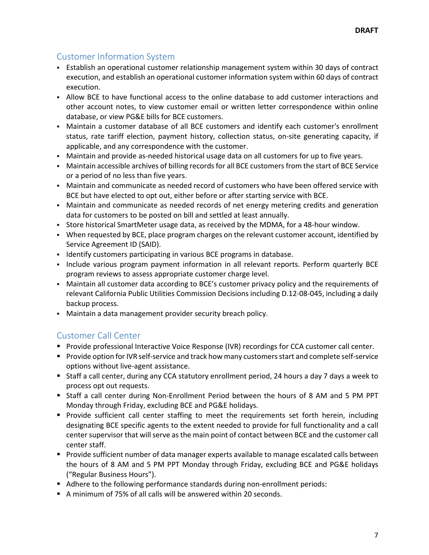## <span id="page-8-0"></span>Customer Information System

- Establish an operational customer relationship management system within 30 days of contract execution, and establish an operational customer information system within 60 days of contract execution.
- Allow BCE to have functional access to the online database to add customer interactions and other account notes, to view customer email or written letter correspondence within online database, or view PG&E bills for BCE customers.
- Maintain a customer database of all BCE customers and identify each customer's enrollment status, rate tariff election, payment history, collection status, on-site generating capacity, if applicable, and any correspondence with the customer.
- Maintain and provide as-needed historical usage data on all customers for up to five years.
- Maintain accessible archives of billing records for all BCE customers from the start of BCE Service or a period of no less than five years.
- Maintain and communicate as needed record of customers who have been offered service with BCE but have elected to opt out, either before or after starting service with BCE.
- Maintain and communicate as needed records of net energy metering credits and generation data for customers to be posted on bill and settled at least annually.
- Store historical SmartMeter usage data, as received by the MDMA, for a 48-hour window.
- When requested by BCE, place program charges on the relevant customer account, identified by Service Agreement ID (SAID).
- **Identify customers participating in various BCE programs in database.**
- Include various program payment information in all relevant reports. Perform quarterly BCE program reviews to assess appropriate customer charge level.
- Maintain all customer data according to BCE's customer privacy policy and the requirements of relevant California Public Utilities Commission Decisions including D.12-08-045, including a daily backup process.
- Maintain a data management provider security breach policy.

## <span id="page-8-1"></span>Customer Call Center

- **Provide professional Interactive Voice Response (IVR) recordings for CCA customer call center.**
- **Provide option for IVR self-service and track how many customers start and complete self-service** options without live-agent assistance.
- Staff a call center, during any CCA statutory enrollment period, 24 hours a day 7 days a week to process opt out requests.
- Staff a call center during Non-Enrollment Period between the hours of 8 AM and 5 PM PPT Monday through Friday, excluding BCE and PG&E holidays.
- **Provide sufficient call center staffing to meet the requirements set forth herein, including** designating BCE specific agents to the extent needed to provide for full functionality and a call center supervisor that will serve as the main point of contact between BCE and the customer call center staff.
- **Provide sufficient number of data manager experts available to manage escalated calls between** the hours of 8 AM and 5 PM PPT Monday through Friday, excluding BCE and PG&E holidays ("Regular Business Hours").
- Adhere to the following performance standards during non-enrollment periods:
- A minimum of 75% of all calls will be answered within 20 seconds.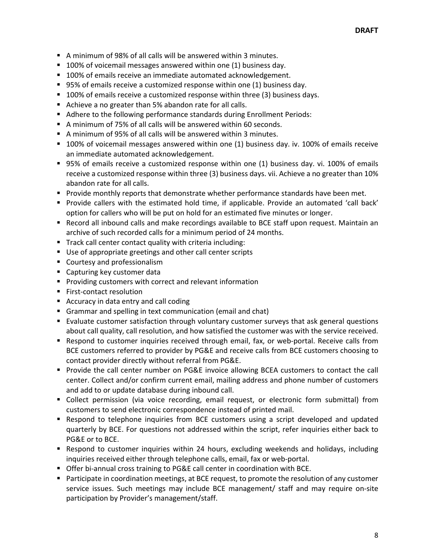- A minimum of 98% of all calls will be answered within 3 minutes.
- 100% of voicemail messages answered within one (1) business day.
- 100% of emails receive an immediate automated acknowledgement.
- 95% of emails receive a customized response within one (1) business day.
- 100% of emails receive a customized response within three (3) business days.
- Achieve a no greater than 5% abandon rate for all calls.
- Adhere to the following performance standards during Enrollment Periods:
- A minimum of 75% of all calls will be answered within 60 seconds.
- A minimum of 95% of all calls will be answered within 3 minutes.
- 100% of voicemail messages answered within one (1) business day. iv. 100% of emails receive an immediate automated acknowledgement.
- 95% of emails receive a customized response within one (1) business day. vi. 100% of emails receive a customized response within three (3) business days. vii. Achieve a no greater than 10% abandon rate for all calls.
- **Provide monthly reports that demonstrate whether performance standards have been met.**
- Provide callers with the estimated hold time, if applicable. Provide an automated 'call back' option for callers who will be put on hold for an estimated five minutes or longer.
- **Record all inbound calls and make recordings available to BCE staff upon request. Maintain an** archive of such recorded calls for a minimum period of 24 months.
- **Track call center contact quality with criteria including:**
- Use of appropriate greetings and other call center scripts
- **Courtesy and professionalism**
- Capturing key customer data
- **Providing customers with correct and relevant information**
- **First-contact resolution**
- Accuracy in data entry and call coding
- Grammar and spelling in text communication (email and chat)
- Evaluate customer satisfaction through voluntary customer surveys that ask general questions about call quality, call resolution, and how satisfied the customer was with the service received.
- Respond to customer inquiries received through email, fax, or web-portal. Receive calls from BCE customers referred to provider by PG&E and receive calls from BCE customers choosing to contact provider directly without referral from PG&E.
- **Provide the call center number on PG&E invoice allowing BCEA customers to contact the call** center. Collect and/or confirm current email, mailing address and phone number of customers and add to or update database during inbound call.
- Collect permission (via voice recording, email request, or electronic form submittal) from customers to send electronic correspondence instead of printed mail.
- **•** Respond to telephone inquiries from BCE customers using a script developed and updated quarterly by BCE. For questions not addressed within the script, refer inquiries either back to PG&E or to BCE.
- Respond to customer inquiries within 24 hours, excluding weekends and holidays, including inquiries received either through telephone calls, email, fax or web-portal.
- **Offer bi-annual cross training to PG&E call center in coordination with BCE.**
- **Participate in coordination meetings, at BCE request, to promote the resolution of any customer** service issues. Such meetings may include BCE management/ staff and may require on-site participation by Provider's management/staff.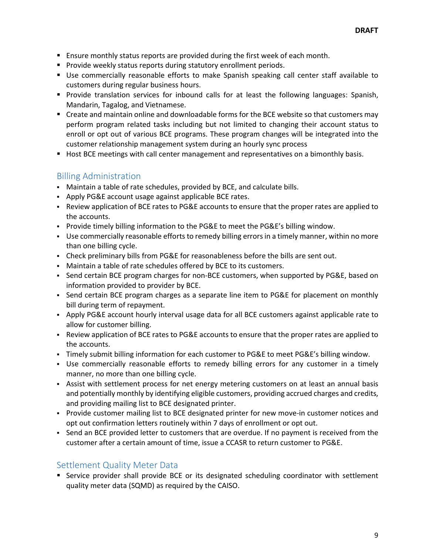- **E** Ensure monthly status reports are provided during the first week of each month.
- **Provide weekly status reports during statutory enrollment periods.**
- Use commercially reasonable efforts to make Spanish speaking call center staff available to customers during regular business hours.
- Provide translation services for inbound calls for at least the following languages: Spanish, Mandarin, Tagalog, and Vietnamese.
- Create and maintain online and downloadable forms for the BCE website so that customers may perform program related tasks including but not limited to changing their account status to enroll or opt out of various BCE programs. These program changes will be integrated into the customer relationship management system during an hourly sync process
- Host BCE meetings with call center management and representatives on a bimonthly basis.

#### <span id="page-10-0"></span>Billing Administration

- Maintain a table of rate schedules, provided by BCE, and calculate bills.
- Apply PG&E account usage against applicable BCE rates.
- Review application of BCE rates to PG&E accounts to ensure that the proper rates are applied to the accounts.
- Provide timely billing information to the PG&E to meet the PG&E's billing window.
- Use commercially reasonable efforts to remedy billing errors in a timely manner, within no more than one billing cycle.
- Check preliminary bills from PG&E for reasonableness before the bills are sent out.
- Maintain a table of rate schedules offered by BCE to its customers.
- Send certain BCE program charges for non-BCE customers, when supported by PG&E, based on information provided to provider by BCE.
- Send certain BCE program charges as a separate line item to PG&E for placement on monthly bill during term of repayment.
- Apply PG&E account hourly interval usage data for all BCE customers against applicable rate to allow for customer billing.
- Review application of BCE rates to PG&E accounts to ensure that the proper rates are applied to the accounts.
- Timely submit billing information for each customer to PG&E to meet PG&E's billing window.
- Use commercially reasonable efforts to remedy billing errors for any customer in a timely manner, no more than one billing cycle.
- Assist with settlement process for net energy metering customers on at least an annual basis and potentially monthly by identifying eligible customers, providing accrued charges and credits, and providing mailing list to BCE designated printer.
- Provide customer mailing list to BCE designated printer for new move-in customer notices and opt out confirmation letters routinely within 7 days of enrollment or opt out.
- Send an BCE provided letter to customers that are overdue. If no payment is received from the customer after a certain amount of time, issue a CCASR to return customer to PG&E.

#### <span id="page-10-1"></span>Settlement Quality Meter Data

**Service provider shall provide BCE or its designated scheduling coordinator with settlement** quality meter data (SQMD) as required by the CAISO.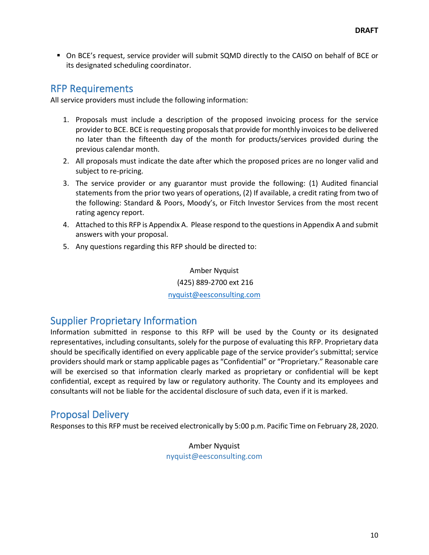On BCE's request, service provider will submit SQMD directly to the CAISO on behalf of BCE or its designated scheduling coordinator.

## <span id="page-11-0"></span>RFP Requirements

All service providers must include the following information:

- 1. Proposals must include a description of the proposed invoicing process for the service provider to BCE. BCE is requesting proposals that provide for monthly invoices to be delivered no later than the fifteenth day of the month for products/services provided during the previous calendar month.
- 2. All proposals must indicate the date after which the proposed prices are no longer valid and subject to re-pricing.
- 3. The service provider or any guarantor must provide the following: (1) Audited financial statements from the prior two years of operations, (2) If available, a credit rating from two of the following: Standard & Poors, Moody's, or Fitch Investor Services from the most recent rating agency report.
- 4. Attached to this RFP is Appendix A. Please respond to the questions in Appendix A and submit answers with your proposal.
- 5. Any questions regarding this RFP should be directed to:

Amber Nyquist (425) 889-2700 ext 216 [nyquist@eesconsulting.com](mailto:kshelton@ceo.lacounty.gov)

## <span id="page-11-1"></span>Supplier Proprietary Information

Information submitted in response to this RFP will be used by the County or its designated representatives, including consultants, solely for the purpose of evaluating this RFP. Proprietary data should be specifically identified on every applicable page of the service provider's submittal; service providers should mark or stamp applicable pages as "Confidential" or "Proprietary." Reasonable care will be exercised so that information clearly marked as proprietary or confidential will be kept confidential, except as required by law or regulatory authority. The County and its employees and consultants will not be liable for the accidental disclosure of such data, even if it is marked.

## <span id="page-11-2"></span>Proposal Delivery

Responses to this RFP must be received electronically by 5:00 p.m. Pacific Time on February 28, 2020.

Amber Nyquist nyquist@eesconsulting.com